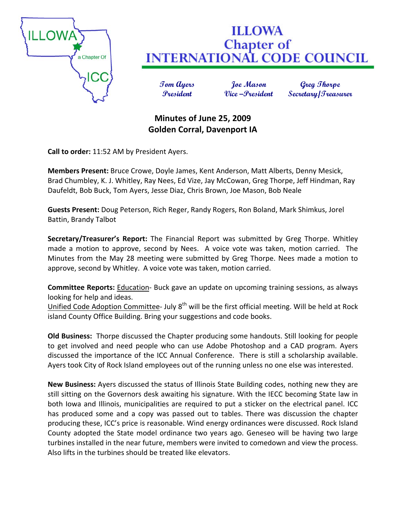

## **ILLOWA Chapter of INTERNATIONAL CODE COUNCIL**

**Tom Ayers Joe Mason Greg Thorpe President Vice –President Secretary/Treasurer**

## **Minutes of June 25, 2009 Golden Corral, Davenport IA**

**Call to order:** 11:52 AM by President Ayers.

**Members Present:** Bruce Crowe, Doyle James, Kent Anderson, Matt Alberts, Denny Mesick, Brad Chumbley, K. J. Whitley, Ray Nees, Ed Vize, Jay McCowan, Greg Thorpe, Jeff Hindman, Ray Daufeldt, Bob Buck, Tom Ayers, Jesse Diaz, Chris Brown, Joe Mason, Bob Neale

**Guests Present:** Doug Peterson, Rich Reger, Randy Rogers, Ron Boland, Mark Shimkus, Jorel Battin, Brandy Talbot

**Secretary/Treasurer's Report:** The Financial Report was submitted by Greg Thorpe. Whitley made a motion to approve, second by Nees. A voice vote was taken, motion carried. The Minutes from the May 28 meeting were submitted by Greg Thorpe. Nees made a motion to approve, second by Whitley. A voice vote was taken, motion carried.

**Committee Reports:** Education‐ Buck gave an update on upcoming training sessions, as always looking for help and ideas.

Unified Code Adoption Committee- July 8<sup>th</sup> will be the first official meeting. Will be held at Rock island County Office Building. Bring your suggestions and code books.

**Old Business:** Thorpe discussed the Chapter producing some handouts. Still looking for people to get involved and need people who can use Adobe Photoshop and a CAD program. Ayers discussed the importance of the ICC Annual Conference. There is still a scholarship available. Ayers took City of Rock Island employees out of the running unless no one else was interested.

**New Business:** Ayers discussed the status of Illinois State Building codes, nothing new they are still sitting on the Governors desk awaiting his signature. With the IECC becoming State law in both Iowa and Illinois, municipalities are required to put a sticker on the electrical panel. ICC has produced some and a copy was passed out to tables. There was discussion the chapter producing these, ICC's price is reasonable. Wind energy ordinances were discussed. Rock Island County adopted the State model ordinance two years ago. Geneseo will be having two large turbines installed in the near future, members were invited to comedown and view the process. Also lifts in the turbines should be treated like elevators.